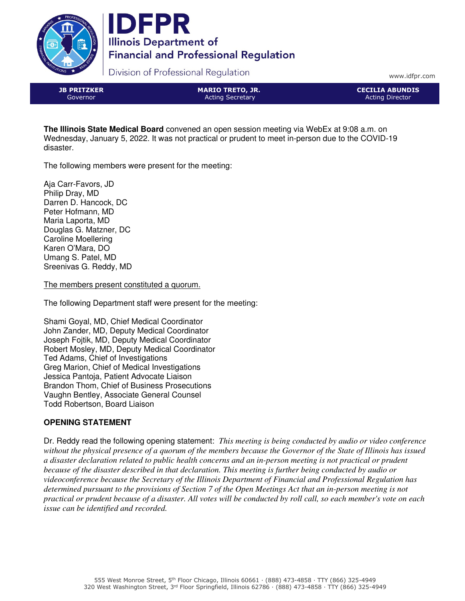



Division of Professional Regulation

www.idfpr.com

JB PRITZKER Governor

MARIO TRETO, JR. Acting Secretary

CECILIA ABUNDIS Acting Director

**The Illinois State Medical Board** convened an open session meeting via WebEx at 9:08 a.m. on Wednesday, January 5, 2022. It was not practical or prudent to meet in-person due to the COVID-19 disaster.

The following members were present for the meeting:

Aja Carr-Favors, JD Philip Dray, MD Darren D. Hancock, DC Peter Hofmann, MD Maria Laporta, MD Douglas G. Matzner, DC Caroline Moellering Karen O'Mara, DO Umang S. Patel, MD Sreenivas G. Reddy, MD

The members present constituted a quorum.

The following Department staff were present for the meeting:

Shami Goyal, MD, Chief Medical Coordinator John Zander, MD, Deputy Medical Coordinator Joseph Fojtik, MD, Deputy Medical Coordinator Robert Mosley, MD, Deputy Medical Coordinator Ted Adams, Chief of Investigations Greg Marion, Chief of Medical Investigations Jessica Pantoja, Patient Advocate Liaison Brandon Thom, Chief of Business Prosecutions Vaughn Bentley, Associate General Counsel Todd Robertson, Board Liaison

# **OPENING STATEMENT**

Dr. Reddy read the following opening statement: *This meeting is being conducted by audio or video conference without the physical presence of a quorum of the members because the Governor of the State of Illinois has issued a disaster declaration related to public health concerns and an in-person meeting is not practical or prudent because of the disaster described in that declaration. This meeting is further being conducted by audio or videoconference because the Secretary of the Illinois Department of Financial and Professional Regulation has determined pursuant to the provisions of Section 7 of the Open Meetings Act that an in-person meeting is not practical or prudent because of a disaster. All votes will be conducted by roll call, so each member's vote on each issue can be identified and recorded.*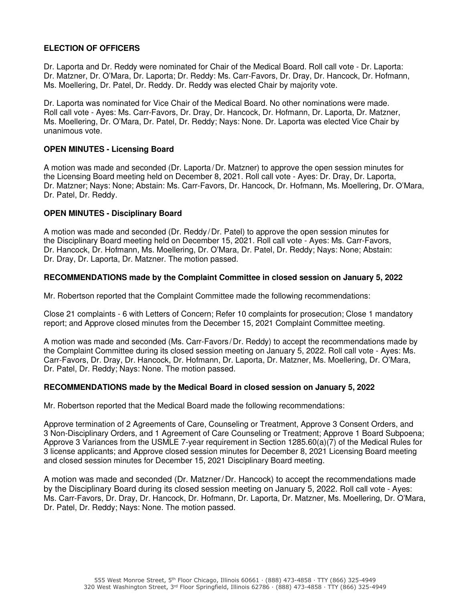## **ELECTION OF OFFICERS**

Dr. Laporta and Dr. Reddy were nominated for Chair of the Medical Board. Roll call vote - Dr. Laporta: Dr. Matzner, Dr. O'Mara, Dr. Laporta; Dr. Reddy: Ms. Carr-Favors, Dr. Dray, Dr. Hancock, Dr. Hofmann, Ms. Moellering, Dr. Patel, Dr. Reddy. Dr. Reddy was elected Chair by majority vote.

Dr. Laporta was nominated for Vice Chair of the Medical Board. No other nominations were made. Roll call vote - Ayes: Ms. Carr-Favors, Dr. Dray, Dr. Hancock, Dr. Hofmann, Dr. Laporta, Dr. Matzner, Ms. Moellering, Dr. O'Mara, Dr. Patel, Dr. Reddy; Nays: None. Dr. Laporta was elected Vice Chair by unanimous vote.

### **OPEN MINUTES - Licensing Board**

A motion was made and seconded (Dr. Laporta/Dr. Matzner) to approve the open session minutes for the Licensing Board meeting held on December 8, 2021. Roll call vote - Ayes: Dr. Dray, Dr. Laporta, Dr. Matzner; Nays: None; Abstain: Ms. Carr-Favors, Dr. Hancock, Dr. Hofmann, Ms. Moellering, Dr. O'Mara, Dr. Patel, Dr. Reddy.

#### **OPEN MINUTES - Disciplinary Board**

A motion was made and seconded (Dr. Reddy /Dr. Patel) to approve the open session minutes for the Disciplinary Board meeting held on December 15, 2021. Roll call vote - Ayes: Ms. Carr-Favors, Dr. Hancock, Dr. Hofmann, Ms. Moellering, Dr. O'Mara, Dr. Patel, Dr. Reddy; Nays: None; Abstain: Dr. Dray, Dr. Laporta, Dr. Matzner. The motion passed.

#### **RECOMMENDATIONS made by the Complaint Committee in closed session on January 5, 2022**

Mr. Robertson reported that the Complaint Committee made the following recommendations:

Close 21 complaints - 6 with Letters of Concern; Refer 10 complaints for prosecution; Close 1 mandatory report; and Approve closed minutes from the December 15, 2021 Complaint Committee meeting.

A motion was made and seconded (Ms. Carr-Favors /Dr. Reddy) to accept the recommendations made by the Complaint Committee during its closed session meeting on January 5, 2022. Roll call vote - Ayes: Ms. Carr-Favors, Dr. Dray, Dr. Hancock, Dr. Hofmann, Dr. Laporta, Dr. Matzner, Ms. Moellering, Dr. O'Mara, Dr. Patel, Dr. Reddy; Nays: None. The motion passed.

### **RECOMMENDATIONS made by the Medical Board in closed session on January 5, 2022**

Mr. Robertson reported that the Medical Board made the following recommendations:

Approve termination of 2 Agreements of Care, Counseling or Treatment, Approve 3 Consent Orders, and 3 Non-Disciplinary Orders, and 1 Agreement of Care Counseling or Treatment; Approve 1 Board Subpoena; Approve 3 Variances from the USMLE 7-year requirement in Section 1285.60(a)(7) of the Medical Rules for 3 license applicants; and Approve closed session minutes for December 8, 2021 Licensing Board meeting and closed session minutes for December 15, 2021 Disciplinary Board meeting.

A motion was made and seconded (Dr. Matzner/Dr. Hancock) to accept the recommendations made by the Disciplinary Board during its closed session meeting on January 5, 2022. Roll call vote - Ayes: Ms. Carr-Favors, Dr. Dray, Dr. Hancock, Dr. Hofmann, Dr. Laporta, Dr. Matzner, Ms. Moellering, Dr. O'Mara, Dr. Patel, Dr. Reddy; Nays: None. The motion passed.